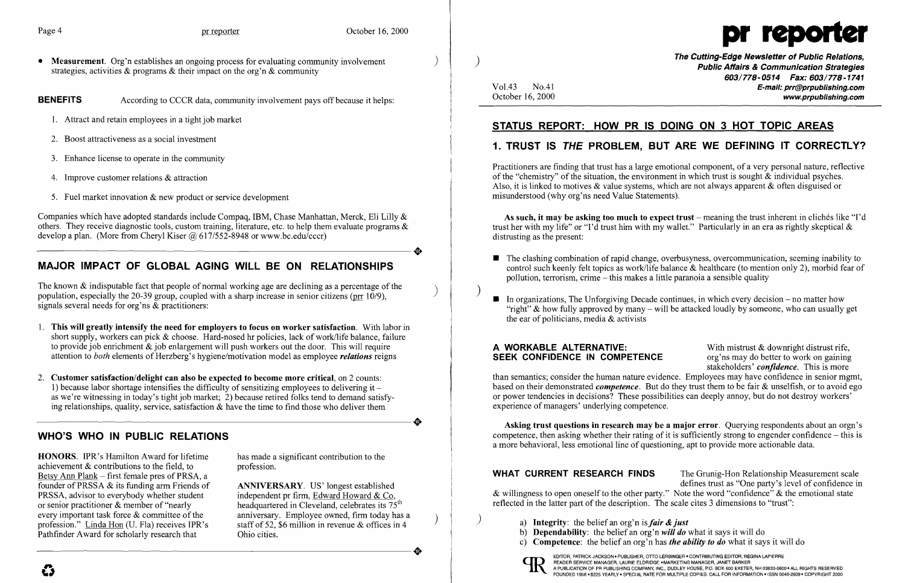• Measurement. Org'n establishes an ongoing process for evaluating community involvement strategies, activities  $\&$  programs  $\&$  their impact on the org'n  $\&$  community

- 1. Attract and retain employees in a tight job market
- 2. Boost attractiveness as a social investment
- 3. Enhance license to operate in the community
- 4. Improve customer relations & attraction
- 5. Fuel market innovation  $\&$  new product or service development

BENEFITS According to CCCR data, community involvement pays off because it helps:

The known  $\&$  indisputable fact that people of normal working age are declining as a percentage of the population, especially the 20-39 group, coupled with a sharp increase in senior citizens (prr  $10/9$ ), signals several needs for org'ns & practitioners:

Companies which have adopted standards include Compaq, IBM, Chase Manhattan, Merck, Eli Lilly & others. They receive diagnostic tools, custom training, literature, etc. to help them evaluate programs & develop a plan. (More from Cheryl Kiser @ 617/552-8948 or www.bc.edu/cccr) develop a plan. (More from Cheryl Kiser @ 617/552-8948 or www.bc.edu/cccr)

## MAJOR IMPACT OF GLOBAL AGING WILL BE ON RELATIONSHIPS

- 1. This will greatly intensify the need for employers to focus on worker satisfaction. With labor in short supply, workers can pick & choose. Hard-nosed hr policies, lack of work/life balance, failure to provide job enrichment  $\&$  job enlargement will push workers out the door. This will require attention to *both* elements of Herzberg's hygiene/motivation model as employee *relations* reigns
- 2. Customer satisfaction/delight can also be expected to become more critical, on 2 counts: 1) because labor shortage intensifies the difficulty of sensitizing employees to delivering it  $$ as we're witnessing in today's tight job market; 2) because retired folks tend to demand satisfy-<br>ing relationships, quality, service, satisfaction & have the time to find those who deliver them ing relationships, quality, service, satisfaction & have the time to find those who deliver them

HONORS. IPR's Hamilton Award for lifetime has made a significant contribution to the achievement  $&$  contributions to the field, to profession. Betsy Ann Plank – first female pres of PRSA, a founder of PRSSA & its funding arm Friends of **ANNIVERSARY**. US' longest established PRSSA, advisor to everybody whether student independent pr firm, Edward Howard & Co. or senior practitioner & member of "nearly headquartered in Cleveland, celebrates its  $75<sup>th</sup>$  every important task force & committee of the anniversary. Employee owned, firm today has a profession." Linda Hon (U. Fla) receives IPR's staff of 52, \$6 million in revenue & offices in 4 Pathfinder Award for scholarly research that Ohio cities. profession." Linda Hon (U. Fla) receives IPR's staff of 52, \$6 million in revenue & offices in 4<br>Pathfinder Award for scholarly research that Ohio cities.

independent pr firm, Edward Howard & Co,

 $\left( \right)$ 

The Cutting-Edge Newsletter of Public Relations, ) Public Affairs & Communication Strategies 603/778-0514 Fax: 603/778-1741 Vo1.43 No.4l E-mail: prr@prpublishing.com October 16, 2000 www.proublishing.com

As such, it may be asking too much to expect trust - meaning the trust inherent in cliches like "I'd trust her with my life" or "I'd trust him with my wallet." Particularly in an era as rightly skeptical  $\&$ distrusting as the present:

 $\blacksquare$  The clashing combination of rapid change, overbusyness, overcommunication, seeming inability to control such keenly felt topics as work/life balance & healthcare (to mention only 2), morbid fear of

"right"  $\&$  how fully approved by many – will be attacked loudly by someone, who can usually get

### WHO'S WHO IN PUBLIC RELATIONS

- pollution, terrorism, crime  $-$  this makes a little paranoia a sensible quality
- $\blacksquare$  In organizations, The Unforgiving Decade continues, in which every decision no matter how the ear of politicians, media & activists

**A WORKABLE ALTERNATIVE:** With mistrust  $\&$  downright distrust rife, **SEEK CONFIDENCE IN COMPETENCE** org'ns may do better to work on gaining SEEK CONFIDENCE IN COMPETENCE stakeholders' *confidence.* This is more than semantics; consider the human nature evidence. Employees may have confidence in senior mgmt, based on their demonstrated *competence.* But do they trust them to be fair & unselfish, or to avoid ego or power tendencies in decisions? These possibilities can deeply annoy, but do not destroy workers' experience of managers' underlying competence.

Asking trust questions in research may be a major error. Querying respondents about an orgn's competence, then asking whether their rating of it is sufficiently strong to engender confidence  $-$  this is a more behavioral, less emotional line of questioning, apt to provide more actionable data.

WHAT CURRENT RESEARCH FINDS The Grunig-Hon Relationship Measurement scale defines trust as "One party's level of confidence in & willingness to open oneself to the other party." Note the word "confidence" & the emotional state reflected in the latter part of the description. The scale cites 3 dimensions to "trust":



# STATUS REPORT: HOW PR IS DOING ON 3 HOT TOPIC AREAS

# 1. TRUST IS THE PROBLEM, BUT ARE WE DEFINING IT CORRECTLY?

Practitioners are finding that trust has a large emotional component, of a very personal nature, reflective of the "chemistry" of the situation, the environment in which trust is sought  $\&$  individual psyches. Also, it is linked to motives & value systems, which are not always apparent & often disguised or misunderstood (why org'ns need Value Statements).

- ) a) Integrity: the belief an org'n is *fair* & *just*
- b) Dependability: the belief an org'n *will do* what it says it will do
- c) Competence: the belief an org'n has *the ability to do* what it says it will do